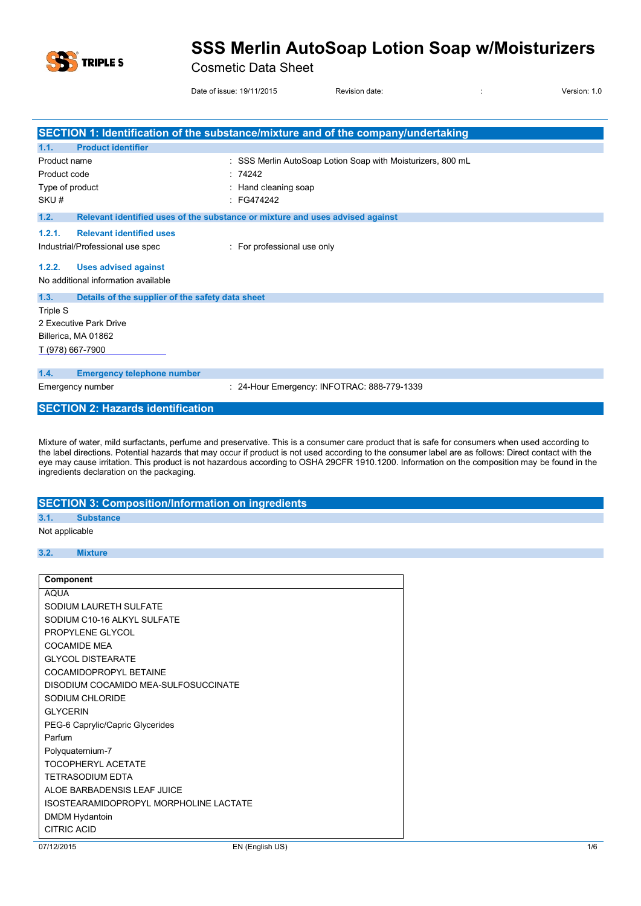

#### Cosmetic Data Sheet

Date of issue: 19/11/2015 Revision date:  $\overline{a}$  is version: 1.0

|                                                          | SECTION 1: Identification of the substance/mixture and of the company/undertaking |
|----------------------------------------------------------|-----------------------------------------------------------------------------------|
| <b>Product identifier</b><br>1.1.                        |                                                                                   |
| Product name                                             | SSS Merlin AutoSoap Lotion Soap with Moisturizers, 800 mL                         |
| Product code                                             | : 74242                                                                           |
| Type of product                                          | Hand cleaning soap                                                                |
| SKU#                                                     | FG474242                                                                          |
| 1.2.                                                     | Relevant identified uses of the substance or mixture and uses advised against     |
| <b>Relevant identified uses</b><br>1.2.1.                |                                                                                   |
| Industrial/Professional use spec                         | : For professional use only                                                       |
| <b>Uses advised against</b><br>1.2.2.                    |                                                                                   |
| No additional information available                      |                                                                                   |
| Details of the supplier of the safety data sheet<br>1.3. |                                                                                   |
| <b>Triple S</b>                                          |                                                                                   |
| 2 Executive Park Drive                                   |                                                                                   |
| Billerica, MA 01862                                      |                                                                                   |
| T (978) 667-7900                                         |                                                                                   |
| 1.4.<br><b>Emergency telephone number</b>                |                                                                                   |
| Emergency number                                         | 24-Hour Emergency: INFOTRAC: 888-779-1339                                         |
| <b>SECTION 2: Hazards identification</b>                 |                                                                                   |

Mixture of water, mild surfactants, perfume and preservative. This is a consumer care product that is safe for consumers when used according to the label directions. Potential hazards that may occur if product is not used according to the consumer label are as follows: Direct contact with the eye may cause irritation. This product is not hazardous according to OSHA 29CFR 1910.1200. Information on the composition may be found in the ingredients declaration on the packaging.

#### **SECTION 3: Composition/Information on ingredients 3.1. Substance** Not applicable

#### **3.2. Mixture**

| Component                              |  |
|----------------------------------------|--|
| <b>AQUA</b>                            |  |
| SODIUM LAURETH SULFATE                 |  |
| SODIUM C10-16 ALKYL SULFATE            |  |
| PROPYLENE GLYCOL                       |  |
| <b>COCAMIDE MEA</b>                    |  |
| <b>GLYCOL DISTEARATE</b>               |  |
| COCAMIDOPROPYL BETAINE                 |  |
| DISODIUM COCAMIDO MEA-SULFOSUCCINATE   |  |
| SODIUM CHLORIDE                        |  |
| <b>GLYCERIN</b>                        |  |
| PEG-6 Caprylic/Capric Glycerides       |  |
| Parfum                                 |  |
| Polyquaternium-7                       |  |
| <b>TOCOPHERYL ACETATE</b>              |  |
| <b>TETRASODIUM EDTA</b>                |  |
| ALOE BARBADENSIS LEAF JUICE            |  |
| ISOSTEARAMIDOPROPYL MORPHOLINE LACTATE |  |
| <b>DMDM Hydantoin</b>                  |  |
| <b>CITRIC ACID</b>                     |  |
| EN (English US)<br>07/12/2015          |  |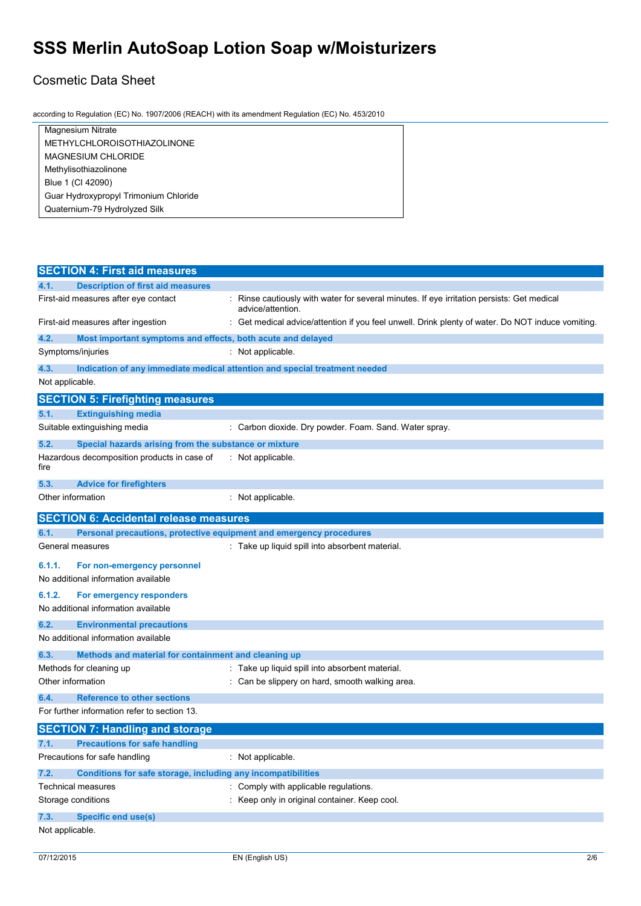## Cosmetic Data Sheet

according to Regulation (EC) No. 1907/2006 (REACH) with its amendment Regulation (EC) No. 453/2010

| Magnesium Nitrate                     |
|---------------------------------------|
| METHYLCHLOROISOTHIAZOLINONE           |
| <b>MAGNESIUM CHLORIDE</b>             |
| Methylisothiazolinone                 |
| Blue 1 (CI 42090)                     |
| Guar Hydroxypropyl Trimonium Chloride |
| Quaternium-79 Hydrolyzed Silk         |
|                                       |

|                   | <b>SECTION 4: First aid measures</b>                                |                                                                                                               |
|-------------------|---------------------------------------------------------------------|---------------------------------------------------------------------------------------------------------------|
| 4.1.              | <b>Description of first aid measures</b>                            |                                                                                                               |
|                   | First-aid measures after eye contact                                | Rinse cautiously with water for several minutes. If eye irritation persists: Get medical<br>advice/attention. |
|                   | First-aid measures after ingestion                                  | Get medical advice/attention if you feel unwell. Drink plenty of water. Do NOT induce vomiting.               |
| 4.2.              | Most important symptoms and effects, both acute and delayed         |                                                                                                               |
| Symptoms/injuries |                                                                     | : Not applicable.                                                                                             |
| 4.3.              |                                                                     | Indication of any immediate medical attention and special treatment needed                                    |
| Not applicable.   |                                                                     |                                                                                                               |
|                   | <b>SECTION 5: Firefighting measures</b>                             |                                                                                                               |
| 5.1.              | <b>Extinguishing media</b>                                          |                                                                                                               |
|                   | Suitable extinguishing media                                        | : Carbon dioxide. Dry powder. Foam. Sand. Water spray.                                                        |
| 5.2.              | Special hazards arising from the substance or mixture               |                                                                                                               |
| fire              | Hazardous decomposition products in case of                         | : Not applicable.                                                                                             |
| 5.3.              | <b>Advice for firefighters</b>                                      |                                                                                                               |
| Other information |                                                                     | Not applicable.                                                                                               |
|                   | <b>SECTION 6: Accidental release measures</b>                       |                                                                                                               |
| 6.1.              | Personal precautions, protective equipment and emergency procedures |                                                                                                               |
|                   | General measures                                                    | : Take up liquid spill into absorbent material.                                                               |
| 6.1.1.            | For non-emergency personnel                                         |                                                                                                               |
|                   | No additional information available                                 |                                                                                                               |
| 6.1.2.            | For emergency responders                                            |                                                                                                               |
|                   | No additional information available                                 |                                                                                                               |
| 6.2.              | <b>Environmental precautions</b>                                    |                                                                                                               |
|                   | No additional information available                                 |                                                                                                               |
| 6.3.              | Methods and material for containment and cleaning up                |                                                                                                               |
|                   | Methods for cleaning up                                             | Take up liquid spill into absorbent material.                                                                 |
| Other information |                                                                     | Can be slippery on hard, smooth walking area.                                                                 |
| 6.4.              | <b>Reference to other sections</b>                                  |                                                                                                               |
|                   | For further information refer to section 13.                        |                                                                                                               |
|                   | <b>SECTION 7: Handling and storage</b>                              |                                                                                                               |
| 7.1.              | <b>Precautions for safe handling</b>                                |                                                                                                               |
|                   | Precautions for safe handling                                       | : Not applicable.                                                                                             |
| 7.2.              | Conditions for safe storage, including any incompatibilities        |                                                                                                               |
|                   | Technical measures                                                  | Comply with applicable regulations.                                                                           |
|                   | Storage conditions                                                  | Keep only in original container. Keep cool.                                                                   |
| 7.3.              | <b>Specific end use(s)</b>                                          |                                                                                                               |
| Not applicable.   |                                                                     |                                                                                                               |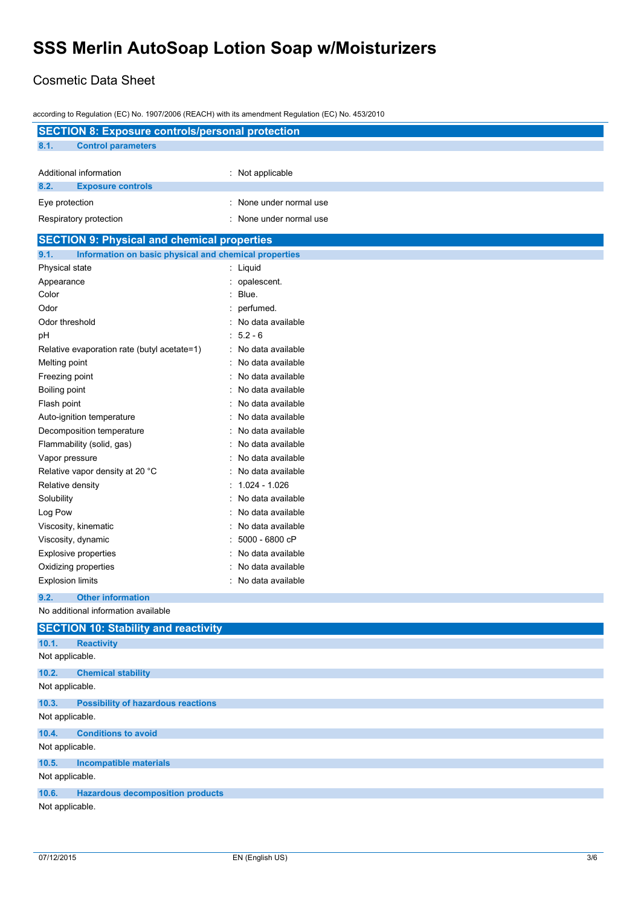## Cosmetic Data Sheet

| according to Regulation (EC) No. 1907/2006 (REACH) with its amendment Regulation (EC) No. 453/2010 |                         |  |  |
|----------------------------------------------------------------------------------------------------|-------------------------|--|--|
| <b>SECTION 8: Exposure controls/personal protection</b>                                            |                         |  |  |
| 8.1.<br><b>Control parameters</b>                                                                  |                         |  |  |
|                                                                                                    |                         |  |  |
| Additional information                                                                             | : Not applicable        |  |  |
| 8.2.<br><b>Exposure controls</b>                                                                   |                         |  |  |
| Eye protection                                                                                     | : None under normal use |  |  |
| Respiratory protection                                                                             | : None under normal use |  |  |
| <b>SECTION 9: Physical and chemical properties</b>                                                 |                         |  |  |
| 9.1.<br>Information on basic physical and chemical properties                                      |                         |  |  |
| Physical state                                                                                     | : Liquid                |  |  |
| Appearance                                                                                         | : opalescent.           |  |  |
| Color                                                                                              | $:$ Blue.               |  |  |
| Odor                                                                                               | perfumed.               |  |  |
| Odor threshold                                                                                     | : No data available     |  |  |
| рH                                                                                                 | $: 5.2 - 6$             |  |  |
| Relative evaporation rate (butyl acetate=1)                                                        | : No data available     |  |  |
| Melting point                                                                                      | No data available       |  |  |
| Freezing point                                                                                     | No data available       |  |  |
| Boiling point                                                                                      | No data available       |  |  |
| Flash point                                                                                        | No data available       |  |  |
| Auto-ignition temperature                                                                          | No data available       |  |  |
| Decomposition temperature                                                                          | No data available       |  |  |
| Flammability (solid, gas)                                                                          | No data available       |  |  |
| Vapor pressure                                                                                     | No data available       |  |  |
| Relative vapor density at 20 °C                                                                    | No data available       |  |  |
| Relative density                                                                                   | 1.024 - 1.026           |  |  |
| Solubility                                                                                         | No data available       |  |  |
| Log Pow                                                                                            | No data available       |  |  |
| Viscosity, kinematic                                                                               | No data available       |  |  |
| Viscosity, dynamic                                                                                 | 5000 - 6800 cP          |  |  |
| <b>Explosive properties</b>                                                                        | No data available       |  |  |
| Oxidizing properties                                                                               | No data available       |  |  |
| <b>Explosion limits</b>                                                                            | : No data available     |  |  |
|                                                                                                    |                         |  |  |
| 9.2.<br><b>Other information</b><br>No additional information available                            |                         |  |  |
| <b>SECTION 10: Stability and reactivity</b>                                                        |                         |  |  |
| 10.1.<br><b>Reactivity</b>                                                                         |                         |  |  |
| Not applicable.                                                                                    |                         |  |  |
| 10.2.<br><b>Chemical stability</b>                                                                 |                         |  |  |
| Not applicable.                                                                                    |                         |  |  |
| 10.3.<br><b>Possibility of hazardous reactions</b>                                                 |                         |  |  |
| Not applicable.                                                                                    |                         |  |  |
|                                                                                                    |                         |  |  |
| 10.4.<br><b>Conditions to avoid</b>                                                                |                         |  |  |
| Not applicable.                                                                                    |                         |  |  |
| 10.5.<br><b>Incompatible materials</b>                                                             |                         |  |  |
| Not applicable.                                                                                    |                         |  |  |
| 10.6.<br><b>Hazardous decomposition products</b>                                                   |                         |  |  |
| Not applicable.                                                                                    |                         |  |  |
|                                                                                                    |                         |  |  |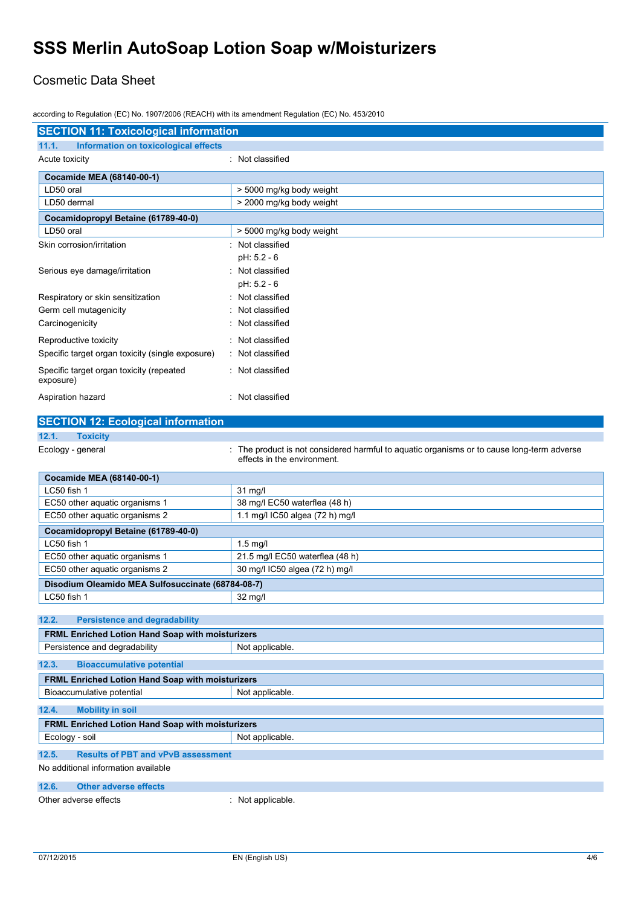### Cosmetic Data Sheet

according to Regulation (EC) No. 1907/2006 (REACH) with its amendment Regulation (EC) No. 453/2010

| <b>SECTION 11: Toxicological information</b>            |                                                                                                                         |  |
|---------------------------------------------------------|-------------------------------------------------------------------------------------------------------------------------|--|
| 11.1.<br>Information on toxicological effects           |                                                                                                                         |  |
| Acute toxicity                                          | : Not classified                                                                                                        |  |
|                                                         |                                                                                                                         |  |
| Cocamide MEA (68140-00-1)<br>LD50 oral                  |                                                                                                                         |  |
| LD50 dermal                                             | > 5000 mg/kg body weight<br>> 2000 mg/kg body weight                                                                    |  |
|                                                         |                                                                                                                         |  |
| Cocamidopropyl Betaine (61789-40-0)                     |                                                                                                                         |  |
| LD50 oral                                               | > 5000 mg/kg body weight                                                                                                |  |
| Skin corrosion/irritation                               | Not classified                                                                                                          |  |
|                                                         | pH: 5.2 - 6                                                                                                             |  |
| Serious eye damage/irritation                           | Not classified                                                                                                          |  |
|                                                         | pH: 5.2 - 6                                                                                                             |  |
| Respiratory or skin sensitization                       | Not classified                                                                                                          |  |
| Germ cell mutagenicity                                  | Not classified                                                                                                          |  |
| Carcinogenicity                                         | Not classified                                                                                                          |  |
| Reproductive toxicity                                   | Not classified                                                                                                          |  |
| Specific target organ toxicity (single exposure)        | : Not classified                                                                                                        |  |
| Specific target organ toxicity (repeated<br>exposure)   | Not classified                                                                                                          |  |
|                                                         |                                                                                                                         |  |
| Aspiration hazard                                       | Not classified                                                                                                          |  |
| <b>SECTION 12: Ecological information</b>               |                                                                                                                         |  |
| 12.1.<br><b>Toxicity</b>                                |                                                                                                                         |  |
| Ecology - general                                       | The product is not considered harmful to aquatic organisms or to cause long-term adverse<br>effects in the environment. |  |
| Cocamide MEA (68140-00-1)                               |                                                                                                                         |  |
| LC50 fish 1                                             | $31$ mg/l                                                                                                               |  |
| EC50 other aquatic organisms 1                          | 38 mg/l EC50 waterflea (48 h)                                                                                           |  |
| EC50 other aquatic organisms 2                          | 1.1 mg/l IC50 algea (72 h) mg/l                                                                                         |  |
| Cocamidopropyl Betaine (61789-40-0)                     |                                                                                                                         |  |
| LC50 fish 1                                             | $1.5$ mg/l                                                                                                              |  |
| EC50 other aquatic organisms 1                          | 21.5 mg/l EC50 waterflea (48 h)                                                                                         |  |
| EC50 other aquatic organisms 2                          | 30 mg/l IC50 algea (72 h) mg/l                                                                                          |  |
| Disodium Oleamido MEA Sulfosuccinate (68784-08-7)       |                                                                                                                         |  |
| LC50 fish 1                                             | 32 mg/l                                                                                                                 |  |
|                                                         |                                                                                                                         |  |
| 12.2.<br><b>Persistence and degradability</b>           |                                                                                                                         |  |
| FRML Enriched Lotion Hand Soap with moisturizers        |                                                                                                                         |  |
| Persistence and degradability                           | Not applicable.                                                                                                         |  |
| 12.3.<br><b>Bioaccumulative potential</b>               |                                                                                                                         |  |
| <b>FRML Enriched Lotion Hand Soap with moisturizers</b> |                                                                                                                         |  |
| Bioaccumulative potential                               | Not applicable.                                                                                                         |  |
| 12.4.<br><b>Mobility in soil</b>                        |                                                                                                                         |  |
| <b>FRML Enriched Lotion Hand Soap with moisturizers</b> |                                                                                                                         |  |
| Ecology - soil                                          | Not applicable.                                                                                                         |  |
| 12.5.<br><b>Results of PBT and vPvB assessment</b>      |                                                                                                                         |  |
| No additional information available                     |                                                                                                                         |  |
|                                                         |                                                                                                                         |  |
| 12.6.<br><b>Other adverse effects</b>                   |                                                                                                                         |  |
| Other adverse effects                                   | : Not applicable.                                                                                                       |  |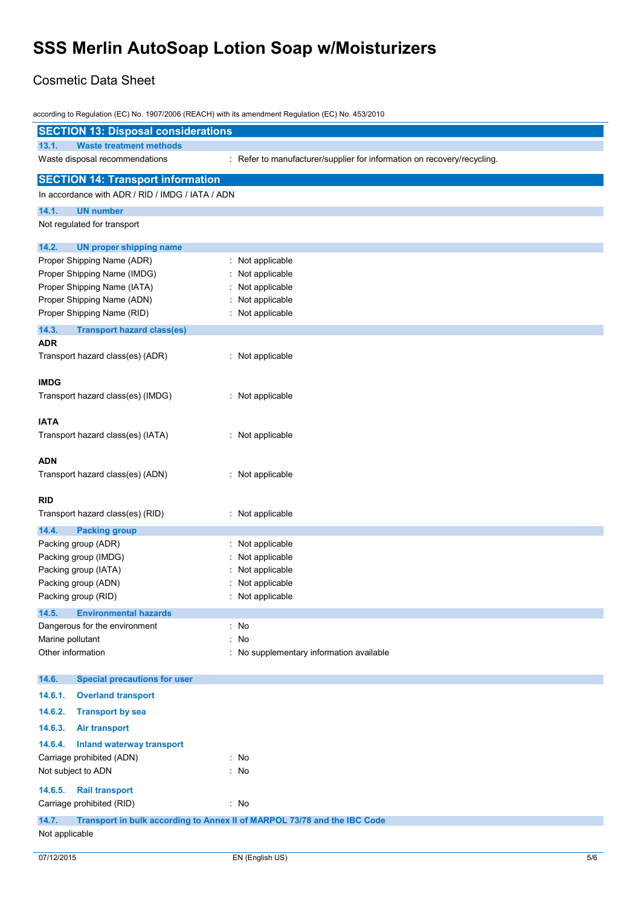## Cosmetic Data Sheet

|                                                  | according to Regulation (EC) No. 1907/2006 (REACH) with its amendment Regulation (EC) No. 453/2010 |     |
|--------------------------------------------------|----------------------------------------------------------------------------------------------------|-----|
| <b>SECTION 13: Disposal considerations</b>       |                                                                                                    |     |
| 13.1.<br><b>Waste treatment methods</b>          |                                                                                                    |     |
| Waste disposal recommendations                   | : Refer to manufacturer/supplier for information on recovery/recycling.                            |     |
| <b>SECTION 14: Transport information</b>         |                                                                                                    |     |
| In accordance with ADR / RID / IMDG / IATA / ADN |                                                                                                    |     |
| 14.1.<br><b>UN number</b>                        |                                                                                                    |     |
| Not regulated for transport                      |                                                                                                    |     |
| 14.2.<br><b>UN proper shipping name</b>          |                                                                                                    |     |
| Proper Shipping Name (ADR)                       | Not applicable                                                                                     |     |
| Proper Shipping Name (IMDG)                      | Not applicable                                                                                     |     |
| Proper Shipping Name (IATA)                      | Not applicable                                                                                     |     |
| Proper Shipping Name (ADN)                       | Not applicable                                                                                     |     |
| Proper Shipping Name (RID)                       | : Not applicable                                                                                   |     |
| 14.3.<br><b>Transport hazard class(es)</b>       |                                                                                                    |     |
| <b>ADR</b>                                       |                                                                                                    |     |
| Transport hazard class(es) (ADR)                 | Not applicable                                                                                     |     |
| <b>IMDG</b>                                      |                                                                                                    |     |
| Transport hazard class(es) (IMDG)                | : Not applicable                                                                                   |     |
|                                                  |                                                                                                    |     |
| <b>IATA</b>                                      |                                                                                                    |     |
| Transport hazard class(es) (IATA)                | : Not applicable                                                                                   |     |
| <b>ADN</b>                                       |                                                                                                    |     |
| Transport hazard class(es) (ADN)                 | : Not applicable                                                                                   |     |
| <b>RID</b>                                       |                                                                                                    |     |
| Transport hazard class(es) (RID)                 | : Not applicable                                                                                   |     |
| 14.4.<br><b>Packing group</b>                    |                                                                                                    |     |
| Packing group (ADR)                              | Not applicable                                                                                     |     |
| Packing group (IMDG)                             | Not applicable                                                                                     |     |
| Packing group (IATA)                             | Not applicable                                                                                     |     |
| Packing group (ADN)                              | Not applicable                                                                                     |     |
| Packing group (RID)                              | Not applicable                                                                                     |     |
| 14.5.<br><b>Environmental hazards</b>            |                                                                                                    |     |
| Dangerous for the environment                    | : No                                                                                               |     |
| Marine pollutant                                 | : No                                                                                               |     |
| Other information                                | : No supplementary information available                                                           |     |
| 14.6.<br><b>Special precautions for user</b>     |                                                                                                    |     |
| 14.6.1.<br><b>Overland transport</b>             |                                                                                                    |     |
| 14.6.2.<br><b>Transport by sea</b>               |                                                                                                    |     |
| 14.6.3.<br><b>Air transport</b>                  |                                                                                                    |     |
| 14.6.4.<br><b>Inland waterway transport</b>      |                                                                                                    |     |
| Carriage prohibited (ADN)                        | : No                                                                                               |     |
| Not subject to ADN                               | : No                                                                                               |     |
| 14.6.5.<br><b>Rail transport</b>                 |                                                                                                    |     |
| Carriage prohibited (RID)                        | : No                                                                                               |     |
| 14.7.                                            | Transport in bulk according to Annex II of MARPOL 73/78 and the IBC Code                           |     |
| Not applicable                                   |                                                                                                    |     |
| 07/12/2015                                       | EN (English US)                                                                                    | 5/6 |
|                                                  |                                                                                                    |     |